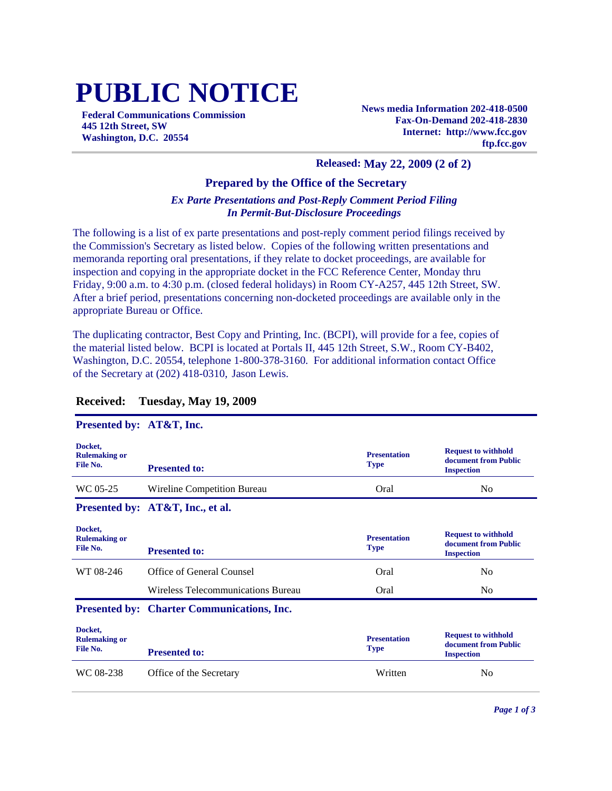# **PUBLIC NOTICE**

**Federal Communications Commission 445 12th Street, SW Washington, D.C. 20554**

**News media Information 202-418-0500 Fax-On-Demand 202-418-2830 Internet: http://www.fcc.gov ftp.fcc.gov**

#### **Released: May 22, 2009 (2 of 2)**

### **Prepared by the Office of the Secretary**

### *Ex Parte Presentations and Post-Reply Comment Period Filing In Permit-But-Disclosure Proceedings*

The following is a list of ex parte presentations and post-reply comment period filings received by the Commission's Secretary as listed below. Copies of the following written presentations and memoranda reporting oral presentations, if they relate to docket proceedings, are available for inspection and copying in the appropriate docket in the FCC Reference Center, Monday thru Friday, 9:00 a.m. to 4:30 p.m. (closed federal holidays) in Room CY-A257, 445 12th Street, SW. After a brief period, presentations concerning non-docketed proceedings are available only in the appropriate Bureau or Office.

The duplicating contractor, Best Copy and Printing, Inc. (BCPI), will provide for a fee, copies of the material listed below. BCPI is located at Portals II, 445 12th Street, S.W., Room CY-B402, Washington, D.C. 20554, telephone 1-800-378-3160. For additional information contact Office of the Secretary at (202) 418-0310, Jason Lewis.

| Presented by: AT&T, Inc.                    |                                                   |                                    |                                                                         |
|---------------------------------------------|---------------------------------------------------|------------------------------------|-------------------------------------------------------------------------|
| Docket,<br><b>Rulemaking or</b><br>File No. | <b>Presented to:</b>                              | <b>Presentation</b><br><b>Type</b> | <b>Request to withhold</b><br>document from Public<br><b>Inspection</b> |
| WC 05-25                                    | Wireline Competition Bureau                       | Oral                               | No.                                                                     |
|                                             | Presented by: AT&T, Inc., et al.                  |                                    |                                                                         |
| Docket,<br><b>Rulemaking or</b><br>File No. | <b>Presented to:</b>                              | <b>Presentation</b><br><b>Type</b> | <b>Request to withhold</b><br>document from Public<br><b>Inspection</b> |
| WT 08-246                                   | Office of General Counsel                         | Oral                               | N <sub>0</sub>                                                          |
|                                             | Wireless Telecommunications Bureau                | Oral                               | N <sub>0</sub>                                                          |
|                                             | <b>Presented by: Charter Communications, Inc.</b> |                                    |                                                                         |
| Docket,<br><b>Rulemaking or</b><br>File No. | <b>Presented to:</b>                              | <b>Presentation</b><br><b>Type</b> | <b>Request to withhold</b><br>document from Public<br><b>Inspection</b> |
| WC 08-238                                   | Office of the Secretary                           | Written                            | N <sub>0</sub>                                                          |

## **Received: Tuesday, May 19, 2009**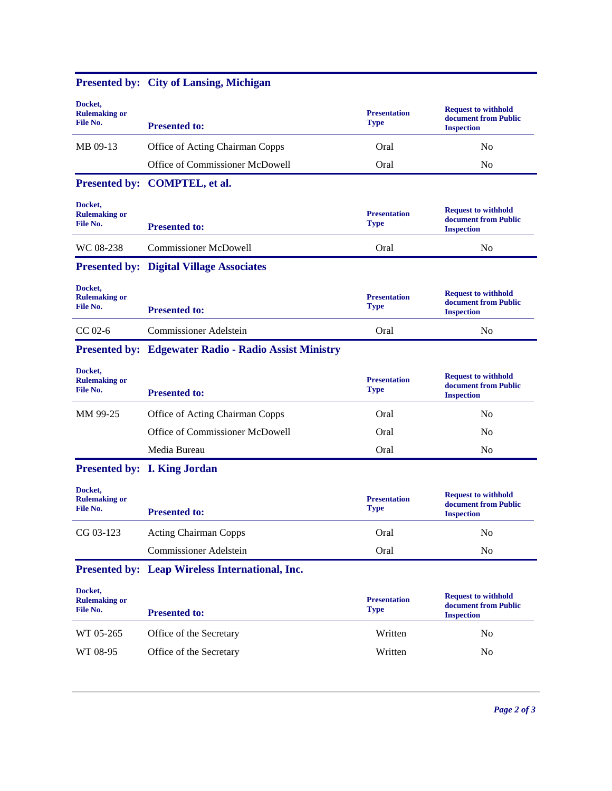| Docket,<br><b>Rulemaking or</b><br>File No. | <b>Presented to:</b>                                         | <b>Presentation</b><br><b>Type</b> | <b>Request to withhold</b><br>document from Public<br><b>Inspection</b> |
|---------------------------------------------|--------------------------------------------------------------|------------------------------------|-------------------------------------------------------------------------|
| MB 09-13                                    | Office of Acting Chairman Copps                              | Oral                               | N <sub>o</sub>                                                          |
|                                             | Office of Commissioner McDowell                              | Oral                               | N <sub>o</sub>                                                          |
|                                             | Presented by: COMPTEL, et al.                                |                                    |                                                                         |
| Docket,<br><b>Rulemaking or</b><br>File No. | <b>Presented to:</b>                                         | <b>Presentation</b><br><b>Type</b> | <b>Request to withhold</b><br>document from Public<br><b>Inspection</b> |
| WC 08-238                                   | <b>Commissioner McDowell</b>                                 | Oral                               | N <sub>o</sub>                                                          |
|                                             | <b>Presented by: Digital Village Associates</b>              |                                    |                                                                         |
| Docket,<br><b>Rulemaking or</b><br>File No. | <b>Presented to:</b>                                         | <b>Presentation</b><br><b>Type</b> | <b>Request to withhold</b><br>document from Public<br><b>Inspection</b> |
| $CC$ 02-6                                   | <b>Commissioner Adelstein</b>                                | Oral                               | No                                                                      |
|                                             | <b>Presented by: Edgewater Radio - Radio Assist Ministry</b> |                                    |                                                                         |
| Docket,<br><b>Rulemaking or</b><br>File No. | <b>Presented to:</b>                                         | <b>Presentation</b><br><b>Type</b> | <b>Request to withhold</b><br>document from Public<br><b>Inspection</b> |
| MM 99-25                                    | Office of Acting Chairman Copps                              | Oral                               | N <sub>0</sub>                                                          |
|                                             | Office of Commissioner McDowell                              | Oral                               | No                                                                      |
|                                             | Media Bureau                                                 | Oral                               | No                                                                      |
|                                             | <b>Presented by: I. King Jordan</b>                          |                                    |                                                                         |
| Docket,<br><b>Rulemaking or</b><br>File No. | <b>Presented to:</b>                                         | <b>Presentation</b><br><b>Type</b> | <b>Request to withhold</b><br>document from Public<br><b>Inspection</b> |
| CG 03-123                                   | <b>Acting Chairman Copps</b>                                 | Oral                               | N <sub>o</sub>                                                          |
|                                             | <b>Commissioner Adelstein</b>                                | Oral                               | No                                                                      |
|                                             | Presented by: Leap Wireless International, Inc.              |                                    |                                                                         |
| Docket,<br><b>Rulemaking or</b><br>File No. | <b>Presented to:</b>                                         | <b>Presentation</b><br><b>Type</b> | <b>Request to withhold</b><br>document from Public<br><b>Inspection</b> |
| WT 05-265                                   | Office of the Secretary                                      | Written                            | No                                                                      |
| WT 08-95                                    | Office of the Secretary                                      | Written                            | N <sub>0</sub>                                                          |

# **Presented by: City of Lansing, Michigan**